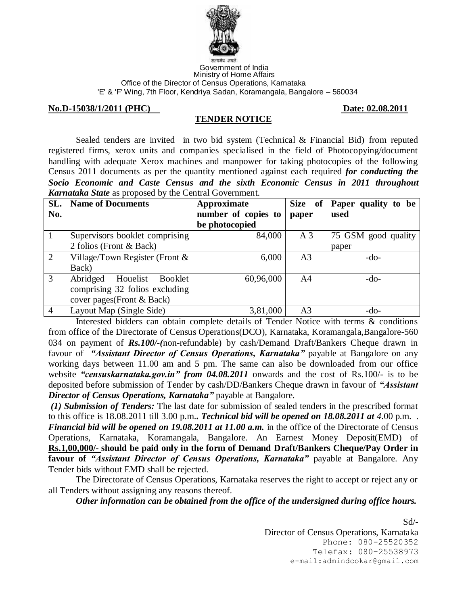

#### Government of India Ministry of Home Affairs Office of the Director of Census Operations, Karnataka 'E' & 'F' Wing, 7th Floor, Kendriya Sadan, Koramangala, Bangalore – 560034

#### **No.D-15038/1/2011 (PHC)** Date: **02.08.2011**

## **TENDER NOTICE**

Sealed tenders are invited in two bid system (Technical & Financial Bid) from reputed registered firms, xerox units and companies specialised in the field of Photocopying/document handling with adequate Xerox machines and manpower for taking photocopies of the following Census 2011 documents as per the quantity mentioned against each required *for conducting the Socio Economic and Caste Census and the sixth Economic Census in 2011 throughout Karnataka State* as proposed by the Central Government.

| SL.            | <b>Name of Documents</b>          | Approximate         | Size of        | Paper quality to be |
|----------------|-----------------------------------|---------------------|----------------|---------------------|
| No.            |                                   | number of copies to | paper          | used                |
|                |                                   | be photocopied      |                |                     |
| $\mathbf{1}$   | Supervisors booklet comprising    | 84,000              | A <sub>3</sub> | 75 GSM good quality |
|                | 2 folios (Front & Back)           |                     |                | paper               |
| 2              | Village/Town Register (Front $\&$ | 6,000               | A <sub>3</sub> | $-do-$              |
|                | Back)                             |                     |                |                     |
| 3              | Abridged<br>Houelist<br>Booklet   | 60,96,000           | A4             | $-do-$              |
|                | comprising 32 folios excluding    |                     |                |                     |
|                | cover pages (Front & Back)        |                     |                |                     |
| $\overline{4}$ | Layout Map (Single Side)          | 3,81,000            | A3             | $-do-$              |

Interested bidders can obtain complete details of Tender Notice with terms & conditions from office of the Directorate of Census Operations(DCO), Karnataka, Koramangala,Bangalore-560 034 on payment of *Rs.100/-(*non-refundable) by cash/Demand Draft/Bankers Cheque drawn in favour of *"Assistant Director of Census Operations, Karnataka"* payable at Bangalore on any working days between 11.00 am and 5 pm. The same can also be downloaded from our office website *"censuskarnataka.gov.in" from 04.08.2011* onwards and the cost of Rs.100/- is to be deposited before submission of Tender by cash/DD/Bankers Cheque drawn in favour of *"Assistant Director of Census Operations, Karnataka"* payable at Bangalore.

*(1) Submission of Tenders:* The last date for submission of sealed tenders in the prescribed format to this office is 18.08.2011 till 3.00 p.m.*. Technical bid will be opened on 18.08.2011 at 4*.00 p.m. . *Financial bid will be opened on 19.08.2011 at 11.00 a.m.* in the office of the Directorate of Census Operations, Karnataka, Koramangala, Bangalore. An Earnest Money Deposit(EMD) of **Rs.1,00,000/- should be paid only in the form of Demand Draft/Bankers Cheque/Pay Order in favour of** *"Assistant Director of Census Operations, Karnataka"* payable at Bangalore. Any Tender bids without EMD shall be rejected.

The Directorate of Census Operations, Karnataka reserves the right to accept or reject any or all Tenders without assigning any reasons thereof.

*Other information can be obtained from the office of the undersigned during office hours.* 

 $Sd$ <sup>-</sup> Director of Census Operations, Karnataka Phone: 080-25520352 Telefax: 080-25538973 e-mail:admindcokar@gmail.com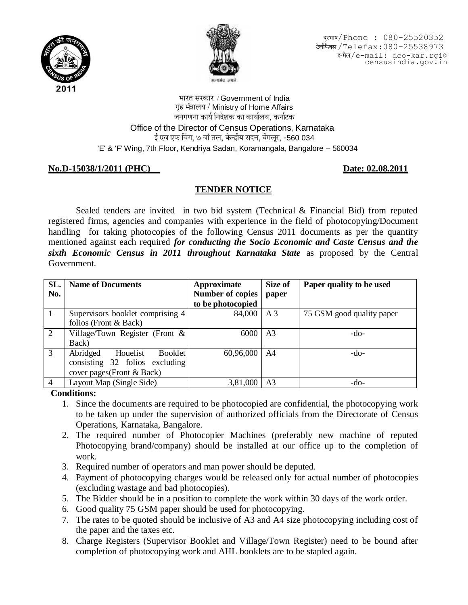



दूरभाष/Phone : 080-25520352 टेलीफैक्स / Telefax: 080-25538973 ‡-´Öî»Ö/e-mail: dco-kar.rgi@ar@ censusindia.gov.in

भारत सरकार / Government of India गृह मंत्रालय / Ministry of Home Affairs जनगणना कार्य निदेशक का कार्यालय, कर्नाटक Office of the Director of Census Operations, Karnataka  $\frac{1}{3}$  एक विंग, ७ वां तल, केन्द्रीय सदन, बेंगलूर, -560 034 'E' & 'F' Wing, 7th Floor, Kendriya Sadan, Koramangala, Bangalore – 560034

# **No.D-15038/1/2011 (PHC)** Date: **02.08.2011**

# **TENDER NOTICE**

Sealed tenders are invited in two bid system (Technical & Financial Bid) from reputed registered firms, agencies and companies with experience in the field of photocopying/Document handling for taking photocopies of the following Census 2011 documents as per the quantity mentioned against each required *for conducting the Socio Economic and Caste Census and the sixth Economic Census in 2011 throughout Karnataka State* as proposed by the Central Government.

| SL.            | <b>Name of Documents</b>          | Approximate             | Size of        | Paper quality to be used  |
|----------------|-----------------------------------|-------------------------|----------------|---------------------------|
| No.            |                                   | <b>Number of copies</b> | paper          |                           |
|                |                                   | to be photocopied       |                |                           |
|                | Supervisors booklet comprising 4  | 84,000                  | A <sub>3</sub> | 75 GSM good quality paper |
|                | folios (Front & Back)             |                         |                |                           |
| 2              | Village/Town Register (Front $\&$ | 6000                    | A <sub>3</sub> | $-do-$                    |
|                | Back)                             |                         |                |                           |
| 3              | Abridged<br>Booklet<br>Houelist   | 60,96,000               | A4             | $-do-$                    |
|                | consisting 32 folios excluding    |                         |                |                           |
|                | cover pages(Front & Back)         |                         |                |                           |
| $\overline{4}$ | Layout Map (Single Side)          | 3,81,000                | A3             | -do-                      |

### **Conditions:**

- 1. Since the documents are required to be photocopied are confidential, the photocopying work to be taken up under the supervision of authorized officials from the Directorate of Census Operations, Karnataka, Bangalore.
- 2. The required number of Photocopier Machines (preferably new machine of reputed Photocopying brand/company) should be installed at our office up to the completion of work.
- 3. Required number of operators and man power should be deputed.
- 4. Payment of photocopying charges would be released only for actual number of photocopies (excluding wastage and bad photocopies).
- 5. The Bidder should be in a position to complete the work within 30 days of the work order.
- 6. Good quality 75 GSM paper should be used for photocopying.
- 7. The rates to be quoted should be inclusive of A3 and A4 size photocopying including cost of the paper and the taxes etc.
- 8. Charge Registers (Supervisor Booklet and Village/Town Register) need to be bound after completion of photocopying work and AHL booklets are to be stapled again.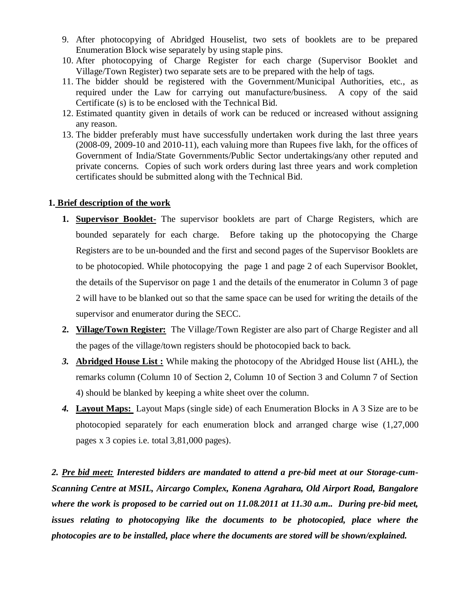- 9. After photocopying of Abridged Houselist, two sets of booklets are to be prepared Enumeration Block wise separately by using staple pins.
- 10. After photocopying of Charge Register for each charge (Supervisor Booklet and Village/Town Register) two separate sets are to be prepared with the help of tags.
- 11. The bidder should be registered with the Government/Municipal Authorities, etc., as required under the Law for carrying out manufacture/business. A copy of the said Certificate (s) is to be enclosed with the Technical Bid.
- 12. Estimated quantity given in details of work can be reduced or increased without assigning any reason.
- 13. The bidder preferably must have successfully undertaken work during the last three years (2008-09, 2009-10 and 2010-11), each valuing more than Rupees five lakh, for the offices of Government of India/State Governments/Public Sector undertakings/any other reputed and private concerns. Copies of such work orders during last three years and work completion certificates should be submitted along with the Technical Bid.

# **1. Brief description of the work**

- **1. Supervisor Booklet-** The supervisor booklets are part of Charge Registers, which are bounded separately for each charge. Before taking up the photocopying the Charge Registers are to be un-bounded and the first and second pages of the Supervisor Booklets are to be photocopied. While photocopying the page 1 and page 2 of each Supervisor Booklet, the details of the Supervisor on page 1 and the details of the enumerator in Column 3 of page 2 will have to be blanked out so that the same space can be used for writing the details of the supervisor and enumerator during the SECC.
- **2. Village/Town Register:** The Village/Town Register are also part of Charge Register and all the pages of the village/town registers should be photocopied back to back.
- *3.* **Abridged House List :** While making the photocopy of the Abridged House list (AHL), the remarks column (Column 10 of Section 2, Column 10 of Section 3 and Column 7 of Section 4) should be blanked by keeping a white sheet over the column.
- *4.* **Layout Maps:** Layout Maps (single side) of each Enumeration Blocks in A 3 Size are to be photocopied separately for each enumeration block and arranged charge wise (1,27,000 pages x 3 copies i.e. total 3,81,000 pages).

*2. Pre bid meet: Interested bidders are mandated to attend a pre-bid meet at our Storage-cum-Scanning Centre at MSIL, Aircargo Complex, Konena Agrahara, Old Airport Road, Bangalore where the work is proposed to be carried out on 11.08.2011 at 11.30 a.m.. During pre-bid meet, issues relating to photocopying like the documents to be photocopied, place where the photocopies are to be installed, place where the documents are stored will be shown/explained.*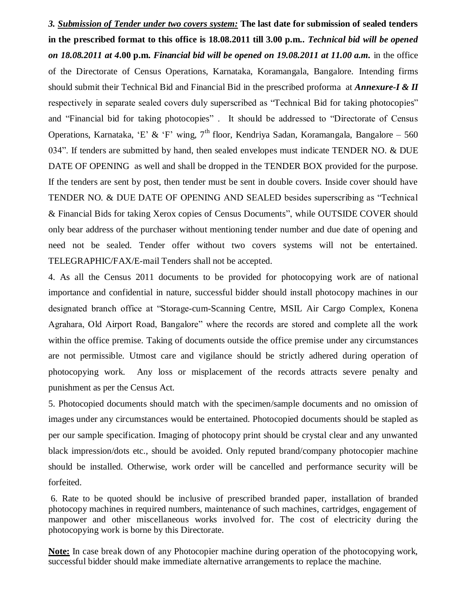*3. Submission of Tender under two covers system:* **The last date for submission of sealed tenders in the prescribed format to this office is 18.08.2011 till 3.00 p.m.***. Technical bid will be opened on 18.08.2011 at 4***.00 p.m.** *Financial bid will be opened on 19.08.2011 at 11.00 a.m.* in the office of the Directorate of Census Operations, Karnataka, Koramangala, Bangalore. Intending firms should submit their Technical Bid and Financial Bid in the prescribed proforma at *Annexure-I & II* respectively in separate sealed covers duly superscribed as "Technical Bid for taking photocopies" and "Financial bid for taking photocopies" . It should be addressed to "Directorate of Census Operations, Karnataka, 'E' & 'F' wing,  $7<sup>th</sup>$  floor, Kendriya Sadan, Koramangala, Bangalore – 560 034". If tenders are submitted by hand, then sealed envelopes must indicate TENDER NO. & DUE DATE OF OPENING as well and shall be dropped in the TENDER BOX provided for the purpose. If the tenders are sent by post, then tender must be sent in double covers. Inside cover should have TENDER NO. & DUE DATE OF OPENING AND SEALED besides superscribing as "Technical & Financial Bids for taking Xerox copies of Census Documents", while OUTSIDE COVER should only bear address of the purchaser without mentioning tender number and due date of opening and need not be sealed. Tender offer without two covers systems will not be entertained. TELEGRAPHIC/FAX/E-mail Tenders shall not be accepted.

4. As all the Census 2011 documents to be provided for photocopying work are of national importance and confidential in nature, successful bidder should install photocopy machines in our designated branch office at "Storage-cum-Scanning Centre, MSIL Air Cargo Complex, Konena Agrahara, Old Airport Road, Bangalore" where the records are stored and complete all the work within the office premise. Taking of documents outside the office premise under any circumstances are not permissible. Utmost care and vigilance should be strictly adhered during operation of photocopying work. Any loss or misplacement of the records attracts severe penalty and punishment as per the Census Act.

5. Photocopied documents should match with the specimen/sample documents and no omission of images under any circumstances would be entertained. Photocopied documents should be stapled as per our sample specification. Imaging of photocopy print should be crystal clear and any unwanted black impression/dots etc., should be avoided. Only reputed brand/company photocopier machine should be installed. Otherwise, work order will be cancelled and performance security will be forfeited.

6. Rate to be quoted should be inclusive of prescribed branded paper, installation of branded photocopy machines in required numbers, maintenance of such machines, cartridges, engagement of manpower and other miscellaneous works involved for. The cost of electricity during the photocopying work is borne by this Directorate.

**Note:** In case break down of any Photocopier machine during operation of the photocopying work, successful bidder should make immediate alternative arrangements to replace the machine.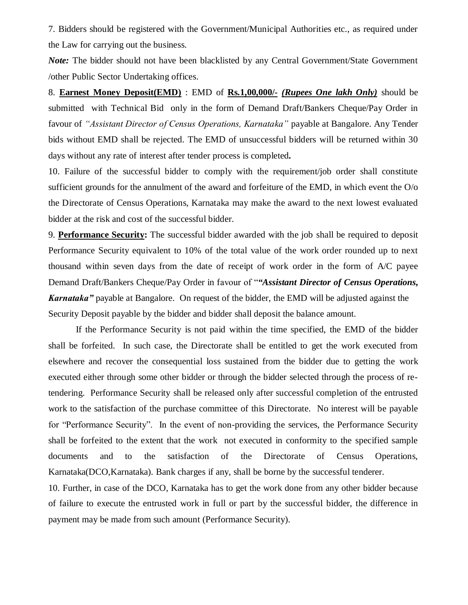7. Bidders should be registered with the Government/Municipal Authorities etc., as required under the Law for carrying out the business.

*Note:* The bidder should not have been blacklisted by any Central Government/State Government /other Public Sector Undertaking offices.

8. **Earnest Money Deposit(EMD)** : EMD of **Rs.1,00,000/-** *(Rupees One lakh Only)* should be submitted with Technical Bid only in the form of Demand Draft/Bankers Cheque/Pay Order in favour of *"Assistant Director of Census Operations, Karnataka"* payable at Bangalore. Any Tender bids without EMD shall be rejected. The EMD of unsuccessful bidders will be returned within 30 days without any rate of interest after tender process is completed*.*

10. Failure of the successful bidder to comply with the requirement/job order shall constitute sufficient grounds for the annulment of the award and forfeiture of the EMD, in which event the O/o the Directorate of Census Operations, Karnataka may make the award to the next lowest evaluated bidder at the risk and cost of the successful bidder.

9. **Performance Security:** The successful bidder awarded with the job shall be required to deposit Performance Security equivalent to 10% of the total value of the work order rounded up to next thousand within seven days from the date of receipt of work order in the form of A/C payee Demand Draft/Bankers Cheque/Pay Order in favour of "*"Assistant Director of Census Operations, Karnataka"* payable at Bangalore. On request of the bidder, the EMD will be adjusted against the Security Deposit payable by the bidder and bidder shall deposit the balance amount.

If the Performance Security is not paid within the time specified, the EMD of the bidder shall be forfeited. In such case, the Directorate shall be entitled to get the work executed from elsewhere and recover the consequential loss sustained from the bidder due to getting the work executed either through some other bidder or through the bidder selected through the process of retendering. Performance Security shall be released only after successful completion of the entrusted work to the satisfaction of the purchase committee of this Directorate. No interest will be payable for "Performance Security". In the event of non-providing the services, the Performance Security shall be forfeited to the extent that the work not executed in conformity to the specified sample documents and to the satisfaction of the Directorate of Census Operations, Karnataka(DCO,Karnataka). Bank charges if any, shall be borne by the successful tenderer.

10. Further, in case of the DCO, Karnataka has to get the work done from any other bidder because of failure to execute the entrusted work in full or part by the successful bidder, the difference in payment may be made from such amount (Performance Security).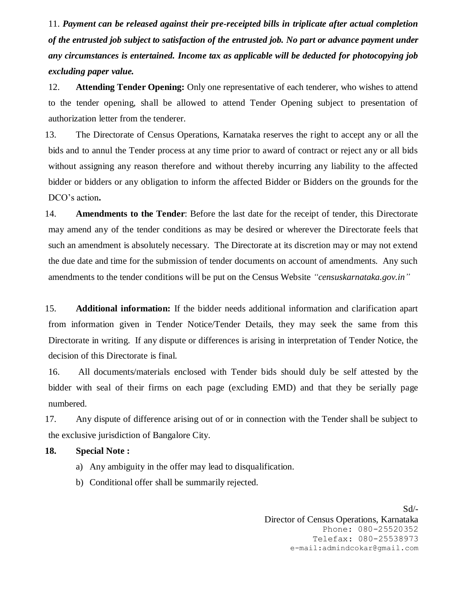11. *Payment can be released against their pre-receipted bills in triplicate after actual completion of the entrusted job subject to satisfaction of the entrusted job. No part or advance payment under any circumstances is entertained. Income tax as applicable will be deducted for photocopying job excluding paper value.*

12. **Attending Tender Opening:** Only one representative of each tenderer, who wishes to attend to the tender opening, shall be allowed to attend Tender Opening subject to presentation of authorization letter from the tenderer.

13. The Directorate of Census Operations, Karnataka reserves the right to accept any or all the bids and to annul the Tender process at any time prior to award of contract or reject any or all bids without assigning any reason therefore and without thereby incurring any liability to the affected bidder or bidders or any obligation to inform the affected Bidder or Bidders on the grounds for the DCO"s action**.**

14. **Amendments to the Tender**: Before the last date for the receipt of tender, this Directorate may amend any of the tender conditions as may be desired or wherever the Directorate feels that such an amendment is absolutely necessary. The Directorate at its discretion may or may not extend the due date and time for the submission of tender documents on account of amendments. Any such amendments to the tender conditions will be put on the Census Website *"censuskarnataka.gov.in"*

15. **Additional information:** If the bidder needs additional information and clarification apart from information given in Tender Notice/Tender Details, they may seek the same from this Directorate in writing. If any dispute or differences is arising in interpretation of Tender Notice, the decision of this Directorate is final.

16. All documents/materials enclosed with Tender bids should duly be self attested by the bidder with seal of their firms on each page (excluding EMD) and that they be serially page numbered.

17. Any dispute of difference arising out of or in connection with the Tender shall be subject to the exclusive jurisdiction of Bangalore City.

### **18. Special Note :**

- a) Any ambiguity in the offer may lead to disqualification.
- b) Conditional offer shall be summarily rejected.

Sd/- Director of Census Operations, Karnataka Phone: 080-25520352 Telefax: 080-25538973 e-mail:admindcokar@gmail.com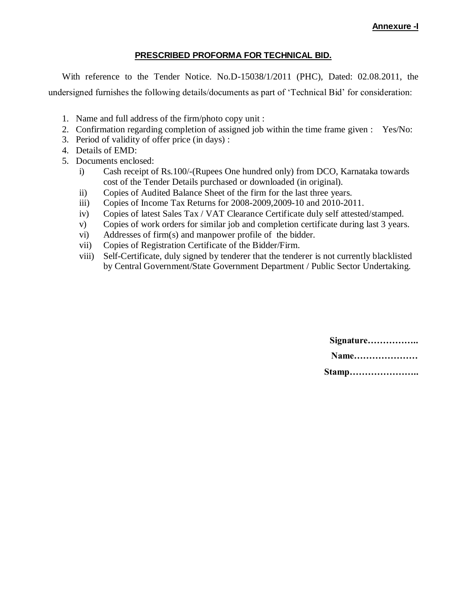### **Annexure -I**

### **PRESCRIBED PROFORMA FOR TECHNICAL BID.**

With reference to the Tender Notice. No.D-15038/1/2011 (PHC), Dated: 02.08.2011, the undersigned furnishes the following details/documents as part of "Technical Bid" for consideration:

- 1. Name and full address of the firm/photo copy unit :
- 2. Confirmation regarding completion of assigned job within the time frame given : Yes/No:
- 3. Period of validity of offer price (in days) :
- 4. Details of EMD:
- 5. Documents enclosed:
	- i) Cash receipt of Rs.100/-(Rupees One hundred only) from DCO, Karnataka towards cost of the Tender Details purchased or downloaded (in original).
	- ii) Copies of Audited Balance Sheet of the firm for the last three years.
	- iii) Copies of Income Tax Returns for 2008-2009,2009-10 and 2010-2011.
	- iv) Copies of latest Sales Tax / VAT Clearance Certificate duly self attested/stamped.
	- v) Copies of work orders for similar job and completion certificate during last 3 years.
	- vi) Addresses of firm(s) and manpower profile of the bidder.
	- vii) Copies of Registration Certificate of the Bidder/Firm.
	- viii) Self-Certificate, duly signed by tenderer that the tenderer is not currently blacklisted by Central Government/State Government Department / Public Sector Undertaking.

| Signature |
|-----------|
| Name      |
| Stamp     |